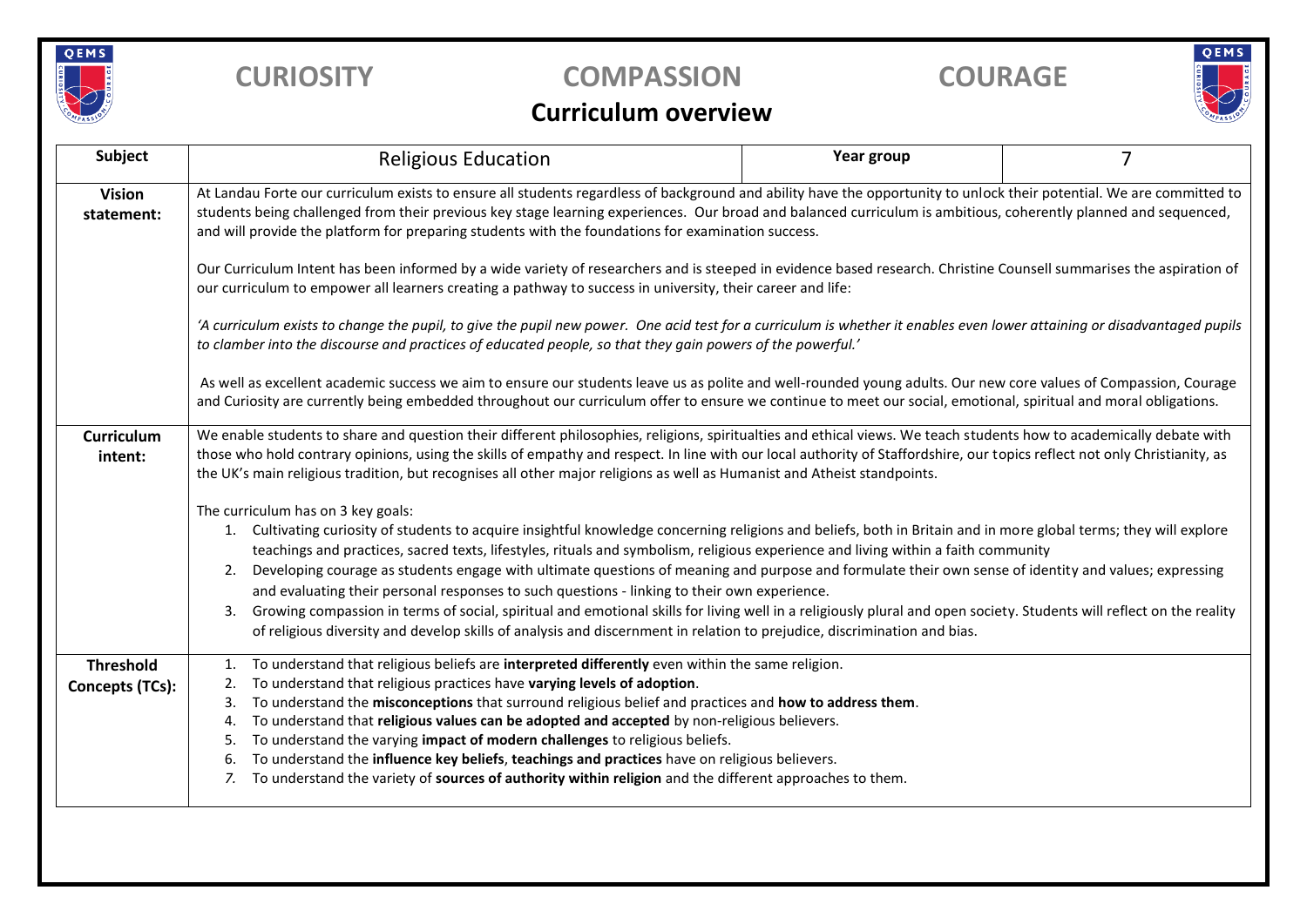

## **CURIOSITY COMPASSION COURAGE**



## **Curriculum overview**

| Subject                             | <b>Religious Education</b>                                                                                                                                                                                                                                                                                                                                                                                                                                                                                                                                                                                                                                                                                                                                                                                                                                                                                                 | Year group | 7 |  |  |  |
|-------------------------------------|----------------------------------------------------------------------------------------------------------------------------------------------------------------------------------------------------------------------------------------------------------------------------------------------------------------------------------------------------------------------------------------------------------------------------------------------------------------------------------------------------------------------------------------------------------------------------------------------------------------------------------------------------------------------------------------------------------------------------------------------------------------------------------------------------------------------------------------------------------------------------------------------------------------------------|------------|---|--|--|--|
| <b>Vision</b><br>statement:         | At Landau Forte our curriculum exists to ensure all students regardless of background and ability have the opportunity to unlock their potential. We are committed to<br>students being challenged from their previous key stage learning experiences. Our broad and balanced curriculum is ambitious, coherently planned and sequenced,<br>and will provide the platform for preparing students with the foundations for examination success.                                                                                                                                                                                                                                                                                                                                                                                                                                                                             |            |   |  |  |  |
|                                     | Our Curriculum Intent has been informed by a wide variety of researchers and is steeped in evidence based research. Christine Counsell summarises the aspiration of<br>our curriculum to empower all learners creating a pathway to success in university, their career and life:                                                                                                                                                                                                                                                                                                                                                                                                                                                                                                                                                                                                                                          |            |   |  |  |  |
|                                     | 'A curriculum exists to change the pupil, to give the pupil new power. One acid test for a curriculum is whether it enables even lower attaining or disadvantaged pupils<br>to clamber into the discourse and practices of educated people, so that they gain powers of the powerful.'                                                                                                                                                                                                                                                                                                                                                                                                                                                                                                                                                                                                                                     |            |   |  |  |  |
|                                     | As well as excellent academic success we aim to ensure our students leave us as polite and well-rounded young adults. Our new core values of Compassion, Courage<br>and Curiosity are currently being embedded throughout our curriculum offer to ensure we continue to meet our social, emotional, spiritual and moral obligations.                                                                                                                                                                                                                                                                                                                                                                                                                                                                                                                                                                                       |            |   |  |  |  |
| <b>Curriculum</b><br>intent:        | We enable students to share and question their different philosophies, religions, spiritualties and ethical views. We teach students how to academically debate with<br>those who hold contrary opinions, using the skills of empathy and respect. In line with our local authority of Staffordshire, our topics reflect not only Christianity, as<br>the UK's main religious tradition, but recognises all other major religions as well as Humanist and Atheist standpoints.                                                                                                                                                                                                                                                                                                                                                                                                                                             |            |   |  |  |  |
|                                     | The curriculum has on 3 key goals:<br>Cultivating curiosity of students to acquire insightful knowledge concerning religions and beliefs, both in Britain and in more global terms; they will explore<br>1.<br>teachings and practices, sacred texts, lifestyles, rituals and symbolism, religious experience and living within a faith community<br>Developing courage as students engage with ultimate questions of meaning and purpose and formulate their own sense of identity and values; expressing<br>2.<br>and evaluating their personal responses to such questions - linking to their own experience.<br>Growing compassion in terms of social, spiritual and emotional skills for living well in a religiously plural and open society. Students will reflect on the reality<br>3.<br>of religious diversity and develop skills of analysis and discernment in relation to prejudice, discrimination and bias. |            |   |  |  |  |
| <b>Threshold</b><br>Concepts (TCs): | To understand that religious beliefs are interpreted differently even within the same religion.<br>1.<br>To understand that religious practices have varying levels of adoption.<br>2.<br>To understand the misconceptions that surround religious belief and practices and how to address them.<br>3.<br>To understand that religious values can be adopted and accepted by non-religious believers.<br>4.<br>To understand the varying impact of modern challenges to religious beliefs.<br>5.<br>To understand the influence key beliefs, teachings and practices have on religious believers.<br>6.<br>To understand the variety of sources of authority within religion and the different approaches to them.<br>7.                                                                                                                                                                                                   |            |   |  |  |  |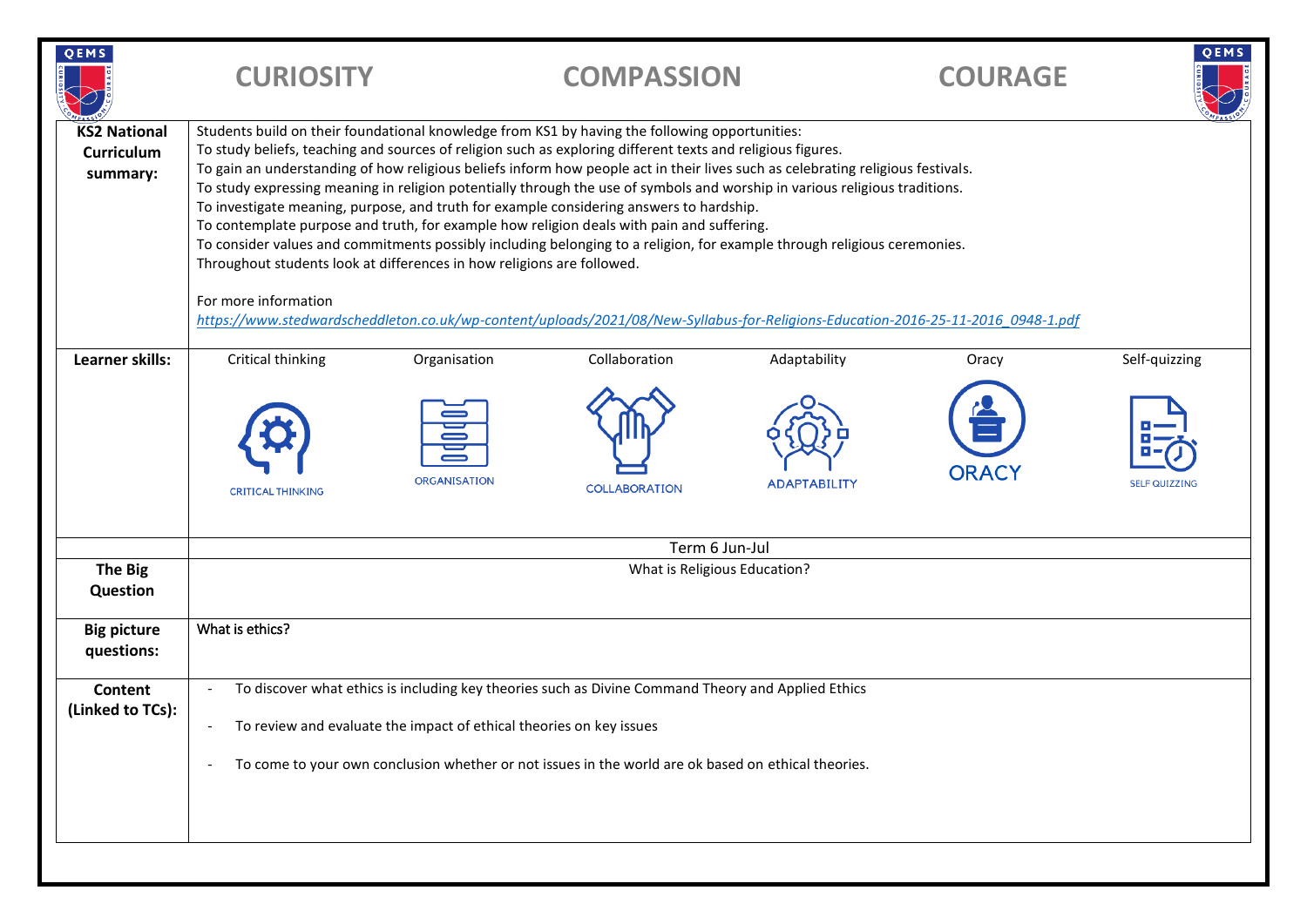| QEMS                                                 | <b>CURIOSITY</b>                                                                                                                                                                                                                                                                                                                                                                                                                                                                                                                                                                                                                                                                                                                                                                                                                                                                                      |                                     | <b>COMPASSION</b>                     |                                     | <b>COURAGE</b>                                                                                                                   | QEMS                                  |  |  |
|------------------------------------------------------|-------------------------------------------------------------------------------------------------------------------------------------------------------------------------------------------------------------------------------------------------------------------------------------------------------------------------------------------------------------------------------------------------------------------------------------------------------------------------------------------------------------------------------------------------------------------------------------------------------------------------------------------------------------------------------------------------------------------------------------------------------------------------------------------------------------------------------------------------------------------------------------------------------|-------------------------------------|---------------------------------------|-------------------------------------|----------------------------------------------------------------------------------------------------------------------------------|---------------------------------------|--|--|
| <b>KS2 National</b><br><b>Curriculum</b><br>summary: | Students build on their foundational knowledge from KS1 by having the following opportunities:<br>To study beliefs, teaching and sources of religion such as exploring different texts and religious figures.<br>To gain an understanding of how religious beliefs inform how people act in their lives such as celebrating religious festivals.<br>To study expressing meaning in religion potentially through the use of symbols and worship in various religious traditions.<br>To investigate meaning, purpose, and truth for example considering answers to hardship.<br>To contemplate purpose and truth, for example how religion deals with pain and suffering.<br>To consider values and commitments possibly including belonging to a religion, for example through religious ceremonies.<br>Throughout students look at differences in how religions are followed.<br>For more information |                                     |                                       |                                     |                                                                                                                                  |                                       |  |  |
|                                                      |                                                                                                                                                                                                                                                                                                                                                                                                                                                                                                                                                                                                                                                                                                                                                                                                                                                                                                       |                                     |                                       |                                     | https://www.stedwardscheddleton.co.uk/wp-content/uploads/2021/08/New-Syllabus-for-Religions-Education-2016-25-11-2016 0948-1.pdf |                                       |  |  |
| Learner skills:                                      | Critical thinking<br><b>CRITICAL THINKING</b>                                                                                                                                                                                                                                                                                                                                                                                                                                                                                                                                                                                                                                                                                                                                                                                                                                                         | Organisation<br><b>ORGANISATION</b> | Collaboration<br><b>COLLABORATION</b> | Adaptability<br><b>ADAPTABILITY</b> | Oracy<br><b>ORACY</b>                                                                                                            | Self-quizzing<br><b>SELF QUIZZING</b> |  |  |
|                                                      | Term 6 Jun-Jul                                                                                                                                                                                                                                                                                                                                                                                                                                                                                                                                                                                                                                                                                                                                                                                                                                                                                        |                                     |                                       |                                     |                                                                                                                                  |                                       |  |  |
| <b>The Big</b><br>Question                           | What is Religious Education?                                                                                                                                                                                                                                                                                                                                                                                                                                                                                                                                                                                                                                                                                                                                                                                                                                                                          |                                     |                                       |                                     |                                                                                                                                  |                                       |  |  |
| <b>Big picture</b><br>questions:                     | What is ethics?                                                                                                                                                                                                                                                                                                                                                                                                                                                                                                                                                                                                                                                                                                                                                                                                                                                                                       |                                     |                                       |                                     |                                                                                                                                  |                                       |  |  |
| Content<br>(Linked to TCs):                          | To discover what ethics is including key theories such as Divine Command Theory and Applied Ethics<br>To review and evaluate the impact of ethical theories on key issues<br>To come to your own conclusion whether or not issues in the world are ok based on ethical theories.                                                                                                                                                                                                                                                                                                                                                                                                                                                                                                                                                                                                                      |                                     |                                       |                                     |                                                                                                                                  |                                       |  |  |
|                                                      |                                                                                                                                                                                                                                                                                                                                                                                                                                                                                                                                                                                                                                                                                                                                                                                                                                                                                                       |                                     |                                       |                                     |                                                                                                                                  |                                       |  |  |